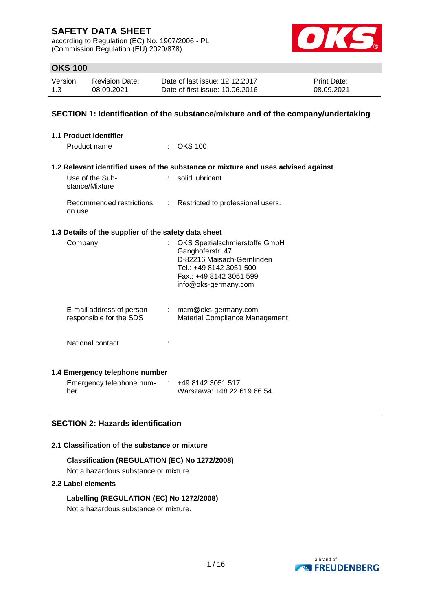according to Regulation (EC) No. 1907/2006 - PL (Commission Regulation (EU) 2020/878)



# **OKS 100**

| Version | Revision Date: | Date of last issue: 12.12.2017  | <b>Print Date:</b> |
|---------|----------------|---------------------------------|--------------------|
| 1.3     | 08.09.2021     | Date of first issue: 10.06.2016 | 08.09.2021         |

## **SECTION 1: Identification of the substance/mixture and of the company/undertaking**

| 1.1 Product identifier                               |                |                                                                                                                                                               |
|------------------------------------------------------|----------------|---------------------------------------------------------------------------------------------------------------------------------------------------------------|
| Product name                                         |                | <b>OKS 100</b>                                                                                                                                                |
|                                                      |                | 1.2 Relevant identified uses of the substance or mixture and uses advised against                                                                             |
| Use of the Sub-<br>stance/Mixture                    | t.             | solid lubricant                                                                                                                                               |
| Recommended restrictions<br>on use                   | $\mathbb{R}^n$ | Restricted to professional users.                                                                                                                             |
| 1.3 Details of the supplier of the safety data sheet |                |                                                                                                                                                               |
| Company                                              |                | OKS Spezialschmierstoffe GmbH<br>Ganghoferstr. 47<br>D-82216 Maisach-Gernlinden<br>Tel.: +49 8142 3051 500<br>Fax.: +49 8142 3051 599<br>info@oks-germany.com |
| E-mail address of person<br>responsible for the SDS  |                | : mcm@oks-germany.com<br>Material Compliance Management                                                                                                       |
| National contact                                     |                |                                                                                                                                                               |
| 1.4 Emergency telephone number                       |                |                                                                                                                                                               |
| Emergency telephone num-                             |                | +49 8142 3051 517                                                                                                                                             |

## **SECTION 2: Hazards identification**

#### **2.1 Classification of the substance or mixture**

**Classification (REGULATION (EC) No 1272/2008)** Not a hazardous substance or mixture.

### **2.2 Label elements**

ber

**Labelling (REGULATION (EC) No 1272/2008)** Not a hazardous substance or mixture.



Warszawa: +48 22 619 66 54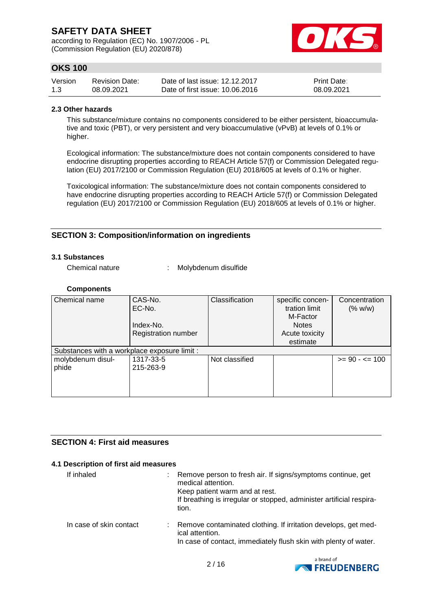according to Regulation (EC) No. 1907/2006 - PL (Commission Regulation (EU) 2020/878)



# **OKS 100**

| Version | <b>Revision Date:</b> | Date of last issue: 12.12.2017  | <b>Print Date:</b> |
|---------|-----------------------|---------------------------------|--------------------|
| 1.3     | 08.09.2021            | Date of first issue: 10.06.2016 | 08.09.2021         |

#### **2.3 Other hazards**

This substance/mixture contains no components considered to be either persistent, bioaccumulative and toxic (PBT), or very persistent and very bioaccumulative (vPvB) at levels of 0.1% or higher.

Ecological information: The substance/mixture does not contain components considered to have endocrine disrupting properties according to REACH Article 57(f) or Commission Delegated regulation (EU) 2017/2100 or Commission Regulation (EU) 2018/605 at levels of 0.1% or higher.

Toxicological information: The substance/mixture does not contain components considered to have endocrine disrupting properties according to REACH Article 57(f) or Commission Delegated regulation (EU) 2017/2100 or Commission Regulation (EU) 2018/605 at levels of 0.1% or higher.

## **SECTION 3: Composition/information on ingredients**

### **3.1 Substances**

Chemical nature : Molybdenum disulfide

#### **Components**

| Chemical name                                | CAS-No.                    | Classification | specific concen- | Concentration     |
|----------------------------------------------|----------------------------|----------------|------------------|-------------------|
|                                              | EC-No.                     |                | tration limit    | (% w/w)           |
|                                              |                            |                | M-Factor         |                   |
|                                              | Index-No.                  |                | <b>Notes</b>     |                   |
|                                              | <b>Registration number</b> |                | Acute toxicity   |                   |
|                                              |                            |                | estimate         |                   |
| Substances with a workplace exposure limit : |                            |                |                  |                   |
| molybdenum disul-                            | 1317-33-5                  | Not classified |                  | $>= 90 - 5 = 100$ |
| phide                                        | 215-263-9                  |                |                  |                   |
|                                              |                            |                |                  |                   |
|                                              |                            |                |                  |                   |
|                                              |                            |                |                  |                   |

### **SECTION 4: First aid measures**

### **4.1 Description of first aid measures**

| If inhaled              | Remove person to fresh air. If signs/symptoms continue, get<br>medical attention.<br>Keep patient warm and at rest.<br>If breathing is irregular or stopped, administer artificial respira-<br>tion. |
|-------------------------|------------------------------------------------------------------------------------------------------------------------------------------------------------------------------------------------------|
| In case of skin contact | Remove contaminated clothing. If irritation develops, get med-<br>ical attention.<br>In case of contact, immediately flush skin with plenty of water.                                                |

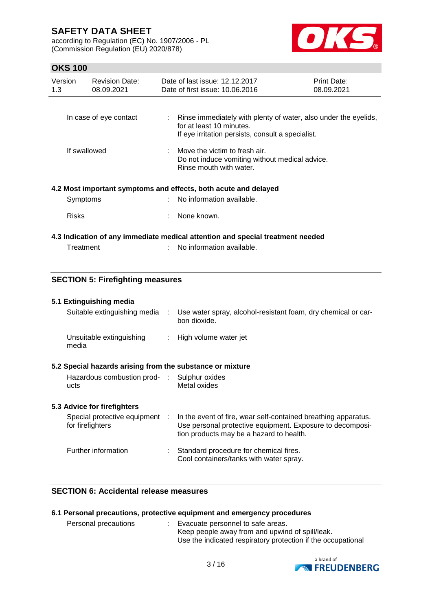according to Regulation (EC) No. 1907/2006 - PL (Commission Regulation (EU) 2020/878)



# **OKS 100**

| Version<br>1.3 | <b>Revision Date:</b><br>08.09.2021 | Date of last issue: 12.12.2017<br>Date of first issue: 10.06.2016                                                                                  | Print Date:<br>08.09.2021 |
|----------------|-------------------------------------|----------------------------------------------------------------------------------------------------------------------------------------------------|---------------------------|
|                | In case of eye contact              | : Rinse immediately with plenty of water, also under the eyelids,<br>for at least 10 minutes.<br>If eye irritation persists, consult a specialist. |                           |
| If swallowed   |                                     | $\therefore$ Move the victim to fresh air.<br>Do not induce vomiting without medical advice.<br>Rinse mouth with water.                            |                           |
|                |                                     | 4.2 Most important symptoms and effects, both acute and delayed                                                                                    |                           |
| Symptoms       |                                     | No information available.                                                                                                                          |                           |
| <b>Risks</b>   |                                     | None known.                                                                                                                                        |                           |
|                |                                     | 4.3 Indication of any immediate medical attention and special treatment needed                                                                     |                           |
| Treatment      |                                     | No information available.                                                                                                                          |                           |

## **SECTION 5: Firefighting measures**

#### **5.1 Extinguishing media**

|                                                           | Suitable extinguishing media : Use water spray, alcohol-resistant foam, dry chemical or car-<br>bon dioxide.                                                            |
|-----------------------------------------------------------|-------------------------------------------------------------------------------------------------------------------------------------------------------------------------|
| Unsuitable extinguishing<br>media                         | : High volume water jet                                                                                                                                                 |
| 5.2 Special hazards arising from the substance or mixture |                                                                                                                                                                         |
| Hazardous combustion prod- : Sulphur oxides<br>ucts       | Metal oxides                                                                                                                                                            |
| 5.3 Advice for firefighters                               |                                                                                                                                                                         |
| Special protective equipment :<br>for firefighters        | In the event of fire, wear self-contained breathing apparatus.<br>Use personal protective equipment. Exposure to decomposi-<br>tion products may be a hazard to health. |

| Further information | Standard procedure for chemical fires.<br>Cool containers/tanks with water spray. |
|---------------------|-----------------------------------------------------------------------------------|
|                     |                                                                                   |

## **SECTION 6: Accidental release measures**

# **6.1 Personal precautions, protective equipment and emergency procedures**

| Personal precautions | Evacuate personnel to safe areas.                            |
|----------------------|--------------------------------------------------------------|
|                      | Keep people away from and upwind of spill/leak.              |
|                      | Use the indicated respiratory protection if the occupational |

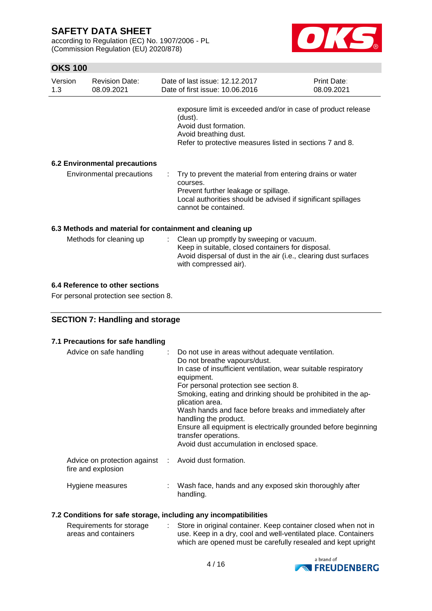according to Regulation (EC) No. 1907/2006 - PL (Commission Regulation (EU) 2020/878)



# **OKS 100**

| Version<br>1.3 | <b>Revision Date:</b><br>08.09.2021  | Date of last issue: 12.12.2017<br>Date of first issue: 10.06.2016                                                                                                                                       | <b>Print Date:</b><br>08.09.2021 |
|----------------|--------------------------------------|---------------------------------------------------------------------------------------------------------------------------------------------------------------------------------------------------------|----------------------------------|
|                |                                      | exposure limit is exceeded and/or in case of product release<br>(dust).<br>Avoid dust formation.<br>Avoid breathing dust.<br>Refer to protective measures listed in sections 7 and 8.                   |                                  |
|                | <b>6.2 Environmental precautions</b> |                                                                                                                                                                                                         |                                  |
|                | Environmental precautions            | : Try to prevent the material from entering drains or water<br>courses.<br>Prevent further leakage or spillage.<br>Local authorities should be advised if significant spillages<br>cannot be contained. |                                  |
|                |                                      | 6.3 Methods and material for containment and cleaning up<br>Mathada far alganing un $\alpha$ lagn un promotly by quegning ary aquin                                                                     |                                  |

| Methods for cleaning up | : Clean up promptly by sweeping or vacuum.                       |
|-------------------------|------------------------------------------------------------------|
|                         | Keep in suitable, closed containers for disposal.                |
|                         | Avoid dispersal of dust in the air (i.e., clearing dust surfaces |
|                         | with compressed air).                                            |

### **6.4 Reference to other sections**

For personal protection see section 8.

## **SECTION 7: Handling and storage**

### **7.1 Precautions for safe handling**

| Advice on safe handling                                                    | t in | Do not use in areas without adequate ventilation.<br>Do not breathe vapours/dust.<br>In case of insufficient ventilation, wear suitable respiratory<br>equipment.<br>For personal protection see section 8.<br>Smoking, eating and drinking should be prohibited in the ap-<br>plication area.<br>Wash hands and face before breaks and immediately after<br>handling the product.<br>Ensure all equipment is electrically grounded before beginning<br>transfer operations.<br>Avoid dust accumulation in enclosed space. |
|----------------------------------------------------------------------------|------|----------------------------------------------------------------------------------------------------------------------------------------------------------------------------------------------------------------------------------------------------------------------------------------------------------------------------------------------------------------------------------------------------------------------------------------------------------------------------------------------------------------------------|
| Advice on protection against : Avoid dust formation.<br>fire and explosion |      |                                                                                                                                                                                                                                                                                                                                                                                                                                                                                                                            |
| Hygiene measures                                                           |      | Wash face, hands and any exposed skin thoroughly after<br>handling.                                                                                                                                                                                                                                                                                                                                                                                                                                                        |

### **7.2 Conditions for safe storage, including any incompatibilities**

| Requirements for storage | Store in original container. Keep container closed when not in |
|--------------------------|----------------------------------------------------------------|
| areas and containers     | use. Keep in a dry, cool and well-ventilated place. Containers |
|                          | which are opened must be carefully resealed and kept upright   |

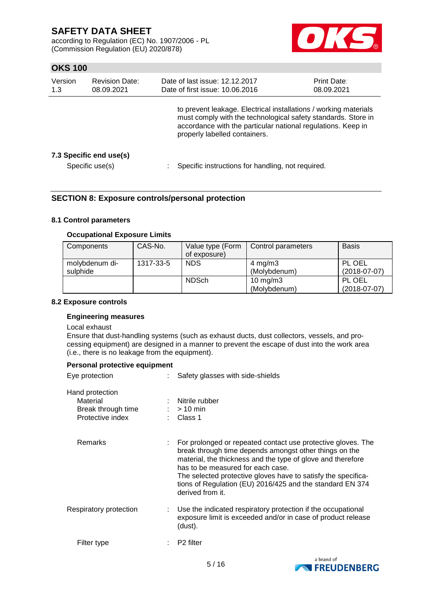according to Regulation (EC) No. 1907/2006 - PL (Commission Regulation (EU) 2020/878)



# **OKS 100**

| Version<br>1.3 | <b>Revision Date:</b><br>08.09.2021        |                                                                                                                                                                                                                                    | Date of last issue: 12.12.2017<br>Date of first issue: 10.06.2016 | <b>Print Date:</b><br>08.09.2021 |
|----------------|--------------------------------------------|------------------------------------------------------------------------------------------------------------------------------------------------------------------------------------------------------------------------------------|-------------------------------------------------------------------|----------------------------------|
|                |                                            | to prevent leakage. Electrical installations / working materials<br>must comply with the technological safety standards. Store in<br>accordance with the particular national regulations. Keep in<br>properly labelled containers. |                                                                   |                                  |
|                | 7.3 Specific end use(s)<br>Specific use(s) |                                                                                                                                                                                                                                    | Specific instructions for handling, not required.                 |                                  |

### **SECTION 8: Exposure controls/personal protection**

### **8.1 Control parameters**

#### **Occupational Exposure Limits**

| Components     | CAS-No.   | Value type (Form | Control parameters | <b>Basis</b>   |
|----------------|-----------|------------------|--------------------|----------------|
|                |           | of exposure)     |                    |                |
| molybdenum di- | 1317-33-5 | <b>NDS</b>       | $4 \text{ mg/m}$ 3 | PL OEL         |
| sulphide       |           |                  | (Molybdenum)       | $(2018-07-07)$ |
|                |           | <b>NDSch</b>     | 10 mg/m $3$        | PL OEL         |
|                |           |                  | (Molybdenum)       | $(2018-07-07)$ |

#### **8.2 Exposure controls**

### **Engineering measures**

#### Local exhaust

Ensure that dust-handling systems (such as exhaust ducts, dust collectors, vessels, and processing equipment) are designed in a manner to prevent the escape of dust into the work area (i.e., there is no leakage from the equipment).

#### **Personal protective equipment**

| Eye protection                                                        | Safety glasses with side-shields                                                                                                                                                                                                                                                                                                                                             |
|-----------------------------------------------------------------------|------------------------------------------------------------------------------------------------------------------------------------------------------------------------------------------------------------------------------------------------------------------------------------------------------------------------------------------------------------------------------|
| Hand protection<br>Material<br>Break through time<br>Protective index | Nitrile rubber<br>$:$ > 10 min<br>: Class 1                                                                                                                                                                                                                                                                                                                                  |
| Remarks                                                               | For prolonged or repeated contact use protective gloves. The<br>break through time depends amongst other things on the<br>material, the thickness and the type of glove and therefore<br>has to be measured for each case.<br>The selected protective gloves have to satisfy the specifica-<br>tions of Regulation (EU) 2016/425 and the standard EN 374<br>derived from it. |
| Respiratory protection                                                | Use the indicated respiratory protection if the occupational<br>exposure limit is exceeded and/or in case of product release<br>(dust).                                                                                                                                                                                                                                      |
| Filter type                                                           | P <sub>2</sub> filter                                                                                                                                                                                                                                                                                                                                                        |

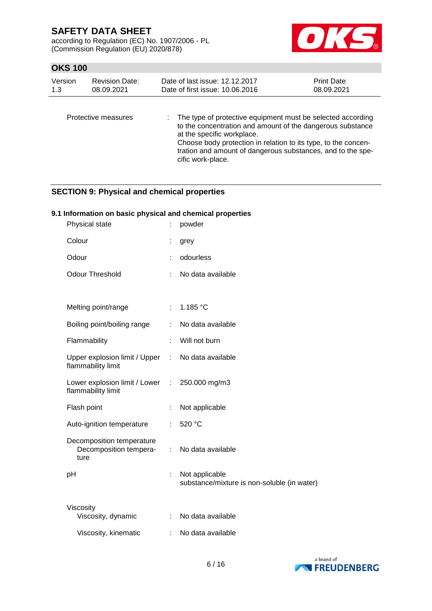according to Regulation (EC) No. 1907/2006 - PL (Commission Regulation (EU) 2020/878)



# **OKS 100**

| Version<br><b>Revision Date:</b><br>1.3<br>08.09.2021 |                     | Date of last issue: 12.12.2017<br>Date of first issue: 10.06.2016                                                                                         | Print Date:<br>08.09.2021 |
|-------------------------------------------------------|---------------------|-----------------------------------------------------------------------------------------------------------------------------------------------------------|---------------------------|
|                                                       | Protective measures | : The type of protective equipment must be selected according<br>to the concentration and amount of the dangerous substance<br>at the specific workplace. |                           |

tration and amount of dangerous substances, and to the specific work-place.

Choose body protection in relation to its type, to the concen-

# **SECTION 9: Physical and chemical properties**

### **9.1 Information on basic physical and chemical properties**

| Physical state                                                          | Ì.                        | powder                                                        |
|-------------------------------------------------------------------------|---------------------------|---------------------------------------------------------------|
| Colour                                                                  |                           | grey                                                          |
| Odour                                                                   |                           | odourless                                                     |
| <b>Odour Threshold</b>                                                  | ÷                         | No data available                                             |
|                                                                         |                           |                                                               |
| Melting point/range                                                     | $\mathbb{R}^{\mathbb{Z}}$ | 1.185 °C                                                      |
| Boiling point/boiling range                                             |                           | No data available                                             |
| Flammability                                                            | ÷                         | Will not burn                                                 |
| Upper explosion limit / Upper : No data available<br>flammability limit |                           |                                                               |
| Lower explosion limit / Lower<br>flammability limit                     |                           | : $250.000 \text{ mg/m}$ 3                                    |
| Flash point                                                             | ÷                         | Not applicable                                                |
| Auto-ignition temperature                                               | ÷.                        | 520 °C                                                        |
| Decomposition temperature<br>Decomposition tempera-<br>ture             | ÷.                        | No data available                                             |
| pH                                                                      | t,                        | Not applicable<br>substance/mixture is non-soluble (in water) |
| Viscosity                                                               |                           |                                                               |
| Viscosity, dynamic                                                      | ÷                         | No data available                                             |
| Viscosity, kinematic                                                    |                           | No data available                                             |

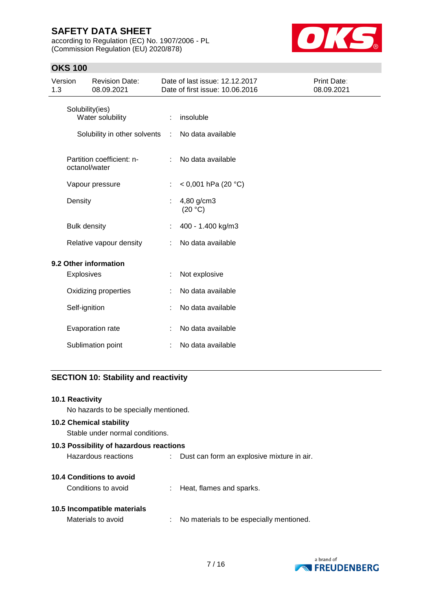according to Regulation (EC) No. 1907/2006 - PL (Commission Regulation (EU) 2020/878)



# **OKS 100**

| Version<br>1.3 |                         | <b>Revision Date:</b><br>08.09.2021        |    | Date of last issue: 12.12.2017<br>Date of first issue: 10.06.2016 | Print Date:<br>08.09.2021 |
|----------------|-------------------------|--------------------------------------------|----|-------------------------------------------------------------------|---------------------------|
|                |                         | Solubility(ies)<br>Water solubility        | ÷. | insoluble                                                         |                           |
|                |                         | Solubility in other solvents :             |    | No data available                                                 |                           |
|                |                         | Partition coefficient: n-<br>octanol/water |    | No data available                                                 |                           |
|                |                         | Vapour pressure                            | ÷. | < 0,001 hPa (20 °C)                                               |                           |
|                | Density                 |                                            |    | 4,80 g/cm3<br>(20 °C)                                             |                           |
|                | <b>Bulk density</b>     |                                            |    | 400 - 1.400 kg/m3                                                 |                           |
|                | Relative vapour density |                                            |    | No data available                                                 |                           |
|                |                         | 9.2 Other information                      |    |                                                                   |                           |
|                | Explosives              |                                            |    | Not explosive                                                     |                           |
|                |                         | Oxidizing properties                       |    | No data available                                                 |                           |
|                | Self-ignition           |                                            |    | No data available                                                 |                           |
|                |                         | Evaporation rate                           |    | No data available                                                 |                           |
|                |                         | Sublimation point                          |    | No data available                                                 |                           |

# **SECTION 10: Stability and reactivity**

| 10.1 Reactivity                         |                                            |
|-----------------------------------------|--------------------------------------------|
| No hazards to be specially mentioned.   |                                            |
| <b>10.2 Chemical stability</b>          |                                            |
| Stable under normal conditions.         |                                            |
| 10.3 Possibility of hazardous reactions |                                            |
| Hazardous reactions                     | Dust can form an explosive mixture in air. |
| 10.4 Conditions to avoid                |                                            |
| Conditions to avoid                     | : Heat, flames and sparks.                 |
| 10.5 Incompatible materials             |                                            |
| Materials to avoid                      | No materials to be especially mentioned.   |
|                                         |                                            |

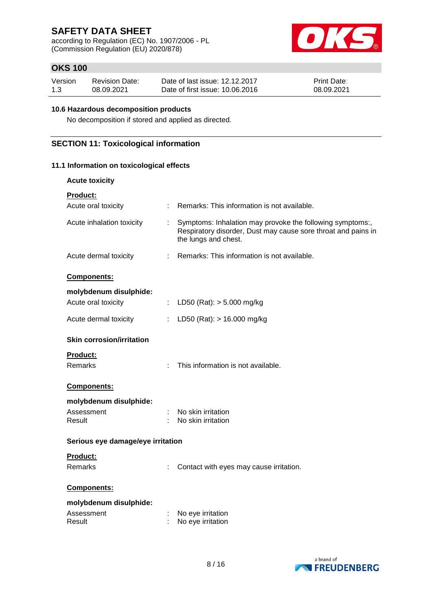according to Regulation (EC) No. 1907/2006 - PL (Commission Regulation (EU) 2020/878)



# **OKS 100**

| Version | <b>Revision Date:</b> | Date of last issue: 12.12.2017  | <b>Print Date:</b> |
|---------|-----------------------|---------------------------------|--------------------|
| 1.3     | 08.09.2021            | Date of first issue: 10.06.2016 | 08.09.2021         |

#### **10.6 Hazardous decomposition products**

No decomposition if stored and applied as directed.

## **SECTION 11: Toxicological information**

### **11.1 Information on toxicological effects**

| <b>Acute toxicity</b>                  |                |                                                                                                                                                    |
|----------------------------------------|----------------|----------------------------------------------------------------------------------------------------------------------------------------------------|
| <b>Product:</b><br>Acute oral toxicity |                | Remarks: This information is not available.                                                                                                        |
|                                        |                |                                                                                                                                                    |
| Acute inhalation toxicity              |                | Symptoms: Inhalation may provoke the following symptoms:,<br>Respiratory disorder, Dust may cause sore throat and pains in<br>the lungs and chest. |
| Acute dermal toxicity                  | t.             | Remarks: This information is not available.                                                                                                        |
| Components:                            |                |                                                                                                                                                    |
| molybdenum disulphide:                 |                |                                                                                                                                                    |
| Acute oral toxicity                    | $\mathbb{R}^n$ | LD50 (Rat): $> 5.000$ mg/kg                                                                                                                        |
| Acute dermal toxicity                  |                | LD50 (Rat): $> 16.000$ mg/kg                                                                                                                       |
| <b>Skin corrosion/irritation</b>       |                |                                                                                                                                                    |
| <b>Product:</b>                        |                |                                                                                                                                                    |
| <b>Remarks</b>                         |                | This information is not available.                                                                                                                 |
| Components:                            |                |                                                                                                                                                    |
| molybdenum disulphide:                 |                |                                                                                                                                                    |
| Assessment                             |                | No skin irritation                                                                                                                                 |
| Result                                 |                | No skin irritation                                                                                                                                 |
| Serious eye damage/eye irritation      |                |                                                                                                                                                    |
| Product:                               |                |                                                                                                                                                    |
| <b>Remarks</b>                         |                | Contact with eyes may cause irritation.                                                                                                            |
| <b>Components:</b>                     |                |                                                                                                                                                    |
| molybdenum disulphide:                 |                |                                                                                                                                                    |
| Assessment                             |                | No eye irritation                                                                                                                                  |
| Result                                 |                | No eye irritation                                                                                                                                  |

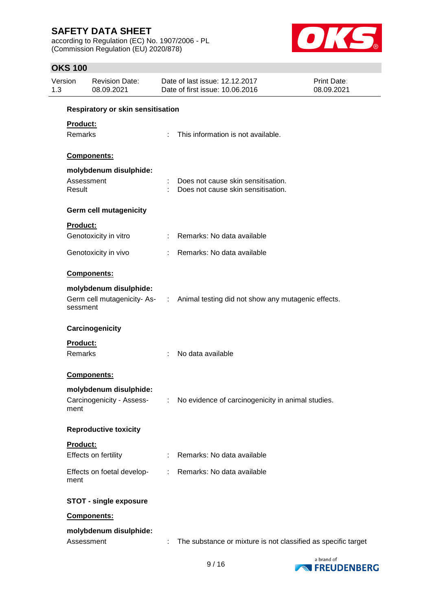according to Regulation (EC) No. 1907/2006 - PL (Commission Regulation (EU) 2020/878)



# **OKS 100**

| Version<br>1.3             | <b>Revision Date:</b><br>08.09.2021                 |                               | Date of last issue: 12.12.2017<br>Date of first issue: 10.06.2016                | <b>Print Date:</b><br>08.09.2021 |  |
|----------------------------|-----------------------------------------------------|-------------------------------|----------------------------------------------------------------------------------|----------------------------------|--|
|                            | Respiratory or skin sensitisation                   |                               |                                                                                  |                                  |  |
| Product:<br>Remarks        |                                                     | ÷.                            | This information is not available.                                               |                                  |  |
|                            | Components:                                         |                               |                                                                                  |                                  |  |
|                            | molybdenum disulphide:                              |                               |                                                                                  |                                  |  |
| Result                     | Assessment                                          |                               | Does not cause skin sensitisation.<br>Does not cause skin sensitisation.         |                                  |  |
|                            | <b>Germ cell mutagenicity</b>                       |                               |                                                                                  |                                  |  |
| <b>Product:</b>            |                                                     |                               |                                                                                  |                                  |  |
|                            | Genotoxicity in vitro                               |                               | : Remarks: No data available                                                     |                                  |  |
|                            | Genotoxicity in vivo                                |                               | : Remarks: No data available                                                     |                                  |  |
|                            | Components:                                         |                               |                                                                                  |                                  |  |
| sessment                   | molybdenum disulphide:                              |                               | Germ cell mutagenicity- As- : Animal testing did not show any mutagenic effects. |                                  |  |
|                            | Carcinogenicity                                     |                               |                                                                                  |                                  |  |
| <b>Product:</b><br>Remarks |                                                     | ÷.                            | No data available                                                                |                                  |  |
|                            | <b>Components:</b>                                  |                               |                                                                                  |                                  |  |
| ment                       | molybdenum disulphide:<br>Carcinogenicity - Assess- |                               | : No evidence of carcinogenicity in animal studies.                              |                                  |  |
|                            | <b>Reproductive toxicity</b>                        |                               |                                                                                  |                                  |  |
| Product:                   | Effects on fertility                                |                               | Remarks: No data available                                                       |                                  |  |
| ment                       | Effects on foetal develop-                          | $\mathcal{I}^{\mathcal{I}}$ . | Remarks: No data available                                                       |                                  |  |
|                            | <b>STOT - single exposure</b>                       |                               |                                                                                  |                                  |  |
|                            | Components:                                         |                               |                                                                                  |                                  |  |
|                            | molybdenum disulphide:<br>Assessment                |                               | The substance or mixture is not classified as specific target                    |                                  |  |

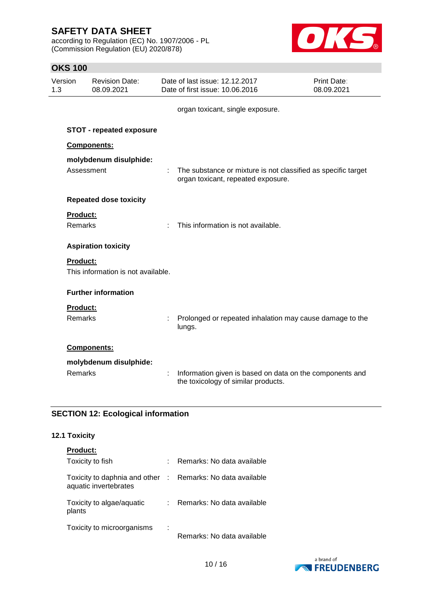according to Regulation (EC) No. 1907/2006 - PL (Commission Regulation (EU) 2020/878)



## **OKS 100**

| Version<br><b>Revision Date:</b><br>1.3<br>08.09.2021 |                                   |                                    | Date of last issue: 12.12.2017<br>Date of first issue: 10.06.2016 | Print Date:<br>08.09.2021                                                                           |  |
|-------------------------------------------------------|-----------------------------------|------------------------------------|-------------------------------------------------------------------|-----------------------------------------------------------------------------------------------------|--|
|                                                       |                                   |                                    |                                                                   | organ toxicant, single exposure.                                                                    |  |
|                                                       |                                   | <b>STOT - repeated exposure</b>    |                                                                   |                                                                                                     |  |
|                                                       |                                   | Components:                        |                                                                   |                                                                                                     |  |
|                                                       | Assessment                        | molybdenum disulphide:             |                                                                   | The substance or mixture is not classified as specific target<br>organ toxicant, repeated exposure. |  |
|                                                       |                                   | <b>Repeated dose toxicity</b>      |                                                                   |                                                                                                     |  |
|                                                       | Product:<br><b>Remarks</b>        |                                    | ÷                                                                 | This information is not available.                                                                  |  |
|                                                       |                                   | <b>Aspiration toxicity</b>         |                                                                   |                                                                                                     |  |
|                                                       | <b>Product:</b>                   | This information is not available. |                                                                   |                                                                                                     |  |
|                                                       |                                   | <b>Further information</b>         |                                                                   |                                                                                                     |  |
|                                                       | <b>Product:</b><br><b>Remarks</b> |                                    |                                                                   | Prolonged or repeated inhalation may cause damage to the<br>lungs.                                  |  |
|                                                       |                                   | Components:                        |                                                                   |                                                                                                     |  |
|                                                       | <b>Remarks</b>                    | molybdenum disulphide:             | ÷                                                                 | Information given is based on data on the components and<br>the toxicology of similar products.     |  |

# **SECTION 12: Ecological information**

# **12.1 Toxicity**

# **Product:**

| Toxicity to fish                                                                    | Remarks: No data available |
|-------------------------------------------------------------------------------------|----------------------------|
| Toxicity to daphnia and other : Remarks: No data available<br>aquatic invertebrates |                            |
| Toxicity to algae/aquatic<br>plants                                                 | Remarks: No data available |
| Toxicity to microorganisms                                                          | Remarks: No data available |

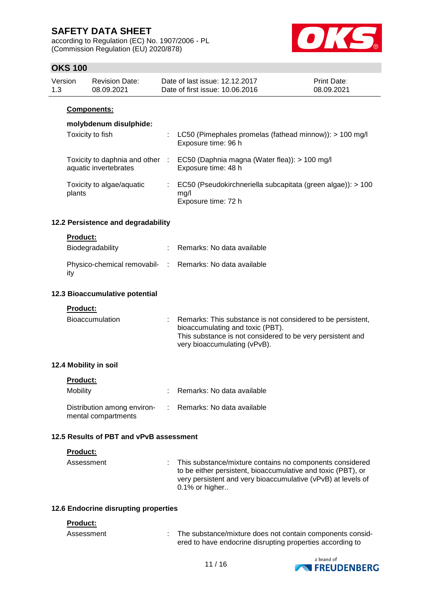according to Regulation (EC) No. 1907/2006 - PL (Commission Regulation (EU) 2020/878)



## **OKS 100**

| Version | Revision Date: | Date of last issue: 12.12.2017  | <b>Print Date:</b> |
|---------|----------------|---------------------------------|--------------------|
| 1.3     | 08.09.2021     | Date of first issue: 10.06.2016 | 08.09.2021         |
|         |                |                                 |                    |

### **Components:**

## **molybdenum disulphide:**

| Toxicity to fish                                       |     | : LC50 (Pimephales promelas (fathead minnow)): $> 100$ mg/l<br>Exposure time: 96 h         |
|--------------------------------------------------------|-----|--------------------------------------------------------------------------------------------|
| Toxicity to daphnia and other<br>aquatic invertebrates | -11 | EC50 (Daphnia magna (Water flea)): > 100 mg/l<br>Exposure time: 48 h                       |
| Toxicity to algae/aquatic<br>plants                    |     | EC50 (Pseudokirchneriella subcapitata (green algae)): > 100<br>mq/l<br>Exposure time: 72 h |

### **12.2 Persistence and degradability**

#### **Product:**

| Biodegradability                                                | : Remarks: No data available |
|-----------------------------------------------------------------|------------------------------|
| Physico-chemical removabil- : Remarks: No data available<br>ity |                              |

#### **12.3 Bioaccumulative potential**

**Product:**

| <b>Bioaccumulation</b> | Remarks: This substance is not considered to be persistent,<br>bioaccumulating and toxic (PBT).<br>This substance is not considered to be very persistent and<br>very bioaccumulating (vPvB). |
|------------------------|-----------------------------------------------------------------------------------------------------------------------------------------------------------------------------------------------|
|                        |                                                                                                                                                                                               |

### **12.4 Mobility in soil**

| Mobility                                           | : Remarks: No data available |
|----------------------------------------------------|------------------------------|
| Distribution among environ-<br>mental compartments | : Remarks: No data available |

#### **12.5 Results of PBT and vPvB assessment**

#### **Product:**

| Assessment | : This substance/mixture contains no components considered<br>to be either persistent, bioaccumulative and toxic (PBT), or<br>very persistent and very bioaccumulative (vPvB) at levels of<br>$0.1\%$ or higher |
|------------|-----------------------------------------------------------------------------------------------------------------------------------------------------------------------------------------------------------------|
|            |                                                                                                                                                                                                                 |

#### **12.6 Endocrine disrupting properties**

#### **Product:**

| Assessment | The substance/mixture does not contain components consid- |
|------------|-----------------------------------------------------------|
|            | ered to have endocrine disrupting properties according to |

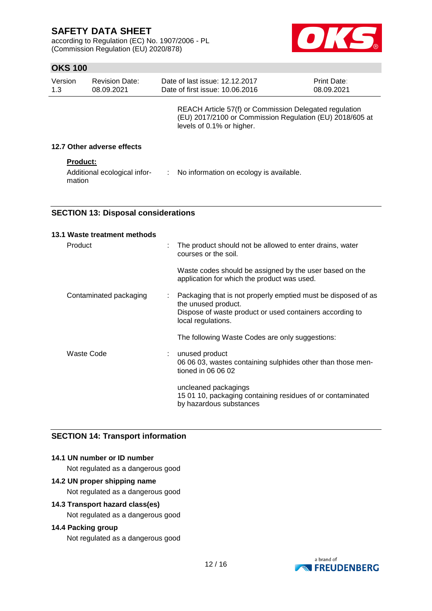according to Regulation (EC) No. 1907/2006 - PL (Commission Regulation (EU) 2020/878)



# **OKS 100**

| Version<br>1.3 | <b>Revision Date:</b><br>08.09.2021    |    | Date of last issue: 12.12.2017<br>Date of first issue: 10.06.2016                                                                               | <b>Print Date:</b><br>08.09.2021 |
|----------------|----------------------------------------|----|-------------------------------------------------------------------------------------------------------------------------------------------------|----------------------------------|
|                |                                        |    | REACH Article 57(f) or Commission Delegated regulation<br>(EU) 2017/2100 or Commission Regulation (EU) 2018/605 at<br>levels of 0.1% or higher. |                                  |
|                | 12.7 Other adverse effects             |    |                                                                                                                                                 |                                  |
|                | <b>Product:</b>                        |    |                                                                                                                                                 |                                  |
|                | Additional ecological infor-<br>mation | ÷. | No information on ecology is available.                                                                                                         |                                  |

### **SECTION 13: Disposal considerations**

| 13.1 Waste treatment methods |   |                                                                                                               |
|------------------------------|---|---------------------------------------------------------------------------------------------------------------|
| Product                      | t | The product should not be allowed to enter drains, water<br>courses or the soil.                              |
|                              |   | Waste codes should be assigned by the user based on the<br>application for which the product was used.        |
| Contaminated packaging       | ÷ | Packaging that is not properly emptied must be disposed of as<br>the unused product.                          |
|                              |   | Dispose of waste product or used containers according to<br>local regulations.                                |
|                              |   | The following Waste Codes are only suggestions:                                                               |
| Waste Code                   |   | unused product<br>06 06 03, wastes containing sulphides other than those men-<br>tioned in 06 06 02           |
|                              |   | uncleaned packagings<br>15 01 10, packaging containing residues of or contaminated<br>by hazardous substances |

# **SECTION 14: Transport information**

### **14.1 UN number or ID number**

Not regulated as a dangerous good

# **14.2 UN proper shipping name**

Not regulated as a dangerous good

## **14.3 Transport hazard class(es)**

Not regulated as a dangerous good

## **14.4 Packing group**

Not regulated as a dangerous good

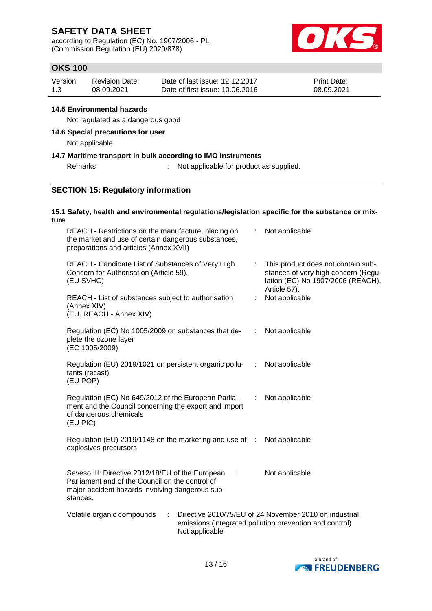according to Regulation (EC) No. 1907/2006 - PL (Commission Regulation (EU) 2020/878)



# **OKS 100**

| Version | <b>Revision Date:</b> | Date of last issue: 12.12.2017  | <b>Print Date:</b> |
|---------|-----------------------|---------------------------------|--------------------|
| 1.3     | 08.09.2021            | Date of first issue: 10.06.2016 | 08.09.2021         |

### **14.5 Environmental hazards**

Not regulated as a dangerous good

### **14.6 Special precautions for user**

Not applicable

### **14.7 Maritime transport in bulk according to IMO instruments**

### Remarks : Not applicable for product as supplied.

## **SECTION 15: Regulatory information**

#### **15.1 Safety, health and environmental regulations/legislation specific for the substance or mixture**

| REACH - Restrictions on the manufacture, placing on<br>the market and use of certain dangerous substances,<br>preparations and articles (Annex XVII)                                              |   |                | Not applicable                                                                                                                                          |  |  |
|---------------------------------------------------------------------------------------------------------------------------------------------------------------------------------------------------|---|----------------|---------------------------------------------------------------------------------------------------------------------------------------------------------|--|--|
| REACH - Candidate List of Substances of Very High<br>Concern for Authorisation (Article 59).<br>(EU SVHC)                                                                                         |   |                | This product does not contain sub-<br>$\mathbb{Z}^{\times}$<br>stances of very high concern (Regu-<br>lation (EC) No 1907/2006 (REACH),<br>Article 57). |  |  |
| REACH - List of substances subject to authorisation<br>(Annex XIV)<br>(EU. REACH - Annex XIV)                                                                                                     | ÷ | Not applicable |                                                                                                                                                         |  |  |
| Regulation (EC) No 1005/2009 on substances that de-<br>plete the ozone layer<br>(EC 1005/2009)                                                                                                    |   | ÷              | Not applicable                                                                                                                                          |  |  |
| Regulation (EU) 2019/1021 on persistent organic pollu-<br>tants (recast)<br>(EU POP)                                                                                                              |   | ÷.             | Not applicable                                                                                                                                          |  |  |
| Regulation (EC) No 649/2012 of the European Parlia-<br>ment and the Council concerning the export and import<br>of dangerous chemicals<br>(EU PIC)                                                |   | ÷              | Not applicable                                                                                                                                          |  |  |
| Regulation (EU) 2019/1148 on the marketing and use of :<br>explosives precursors                                                                                                                  |   |                | Not applicable                                                                                                                                          |  |  |
| Seveso III: Directive 2012/18/EU of the European<br>Not applicable<br>$\cdot$ :<br>Parliament and of the Council on the control of<br>major-accident hazards involving dangerous sub-<br>stances. |   |                |                                                                                                                                                         |  |  |
| Directive 2010/75/EU of 24 November 2010 on industrial<br>Volatile organic compounds<br>÷<br>emissions (integrated pollution prevention and control)<br>Not applicable                            |   |                |                                                                                                                                                         |  |  |

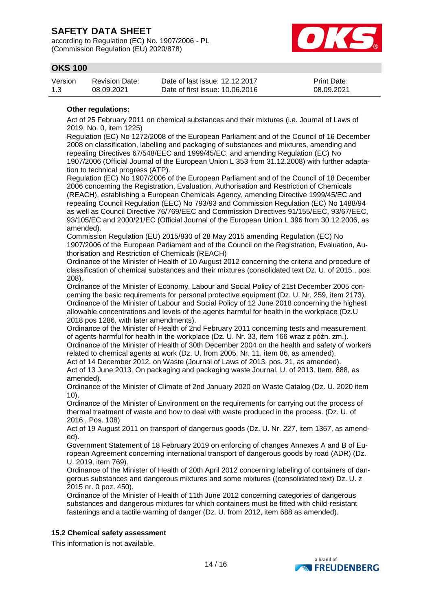according to Regulation (EC) No. 1907/2006 - PL (Commission Regulation (EU) 2020/878)



# **OKS 100**

| Version | Revision Date: | Date of last issue: 12.12.2017  | <b>Print Date:</b> |
|---------|----------------|---------------------------------|--------------------|
| 1.3     | 08.09.2021     | Date of first issue: 10.06.2016 | 08.09.2021         |

#### **Other regulations:**

Act of 25 February 2011 on chemical substances and their mixtures (i.e. Journal of Laws of 2019, No. 0, item 1225)

Regulation (EC) No 1272/2008 of the European Parliament and of the Council of 16 December 2008 on classification, labelling and packaging of substances and mixtures, amending and repealing Directives 67/548/EEC and 1999/45/EC, and amending Regulation (EC) No 1907/2006 (Official Journal of the European Union L 353 from 31.12.2008) with further adaptation to technical progress (ATP).

Regulation (EC) No 1907/2006 of the European Parliament and of the Council of 18 December 2006 concerning the Registration, Evaluation, Authorisation and Restriction of Chemicals (REACH), establishing a European Chemicals Agency, amending Directive 1999/45/EC and repealing Council Regulation (EEC) No 793/93 and Commission Regulation (EC) No 1488/94 as well as Council Directive 76/769/EEC and Commission Directives 91/155/EEC, 93/67/EEC, 93/105/EC and 2000/21/EC (Official Journal of the European Union L 396 from 30.12.2006, as amended).

Commission Regulation (EU) 2015/830 of 28 May 2015 amending Regulation (EC) No 1907/2006 of the European Parliament and of the Council on the Registration, Evaluation, Authorisation and Restriction of Chemicals (REACH)

Ordinance of the Minister of Health of 10 August 2012 concerning the criteria and procedure of classification of chemical substances and their mixtures (consolidated text Dz. U. of 2015., pos. 208).

Ordinance of the Minister of Economy, Labour and Social Policy of 21st December 2005 concerning the basic requirements for personal protective equipment (Dz. U. Nr. 259, item 2173). Ordinance of the Minister of Labour and Social Policy of 12 June 2018 concerning the highest allowable concentrations and levels of the agents harmful for health in the workplace (Dz.U 2018 pos 1286, with later amendments).

Ordinance of the Minister of Health of 2nd February 2011 concerning tests and measurement of agents harmful for health in the workplace (Dz. U. Nr. 33, item 166 wraz z późn. zm.). Ordinance of the Minister of Health of 30th December 2004 on the health and safety of workers related to chemical agents at work (Dz. U. from 2005, Nr. 11, item 86, as amended).

Act of 14 December 2012. on Waste (Journal of Laws of 2013. pos. 21, as amended). Act of 13 June 2013. On packaging and packaging waste Journal. U. of 2013. Item. 888, as amended).

Ordinance of the Minister of Climate of 2nd January 2020 on Waste Catalog (Dz. U. 2020 item 10).

Ordinance of the Minister of Environment on the requirements for carrying out the process of thermal treatment of waste and how to deal with waste produced in the process. (Dz. U. of 2016., Pos. 108)

Act of 19 August 2011 on transport of dangerous goods (Dz. U. Nr. 227, item 1367, as amended).

Government Statement of 18 February 2019 on enforcing of changes Annexes A and B of European Agreement concerning international transport of dangerous goods by road (ADR) (Dz. U. 2019, item 769).

Ordinance of the Minister of Health of 20th April 2012 concerning labeling of containers of dangerous substances and dangerous mixtures and some mixtures ((consolidated text) Dz. U. z 2015 nr. 0 poz. 450).

Ordinance of the Minister of Health of 11th June 2012 concerning categories of dangerous substances and dangerous mixtures for which containers must be fitted with child-resistant fastenings and a tactile warning of danger (Dz. U. from 2012, item 688 as amended).

### **15.2 Chemical safety assessment**

This information is not available.

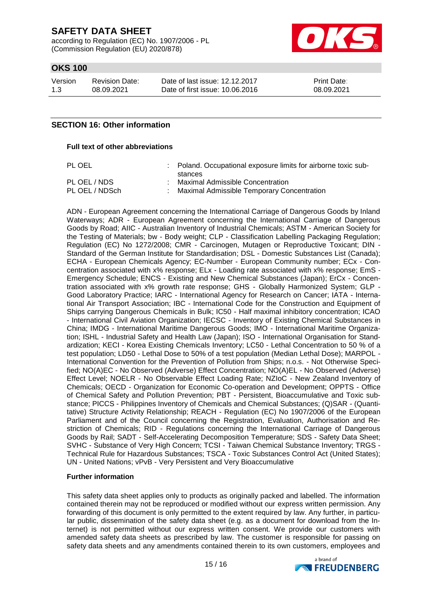according to Regulation (EC) No. 1907/2006 - PL (Commission Regulation (EU) 2020/878)



# **OKS 100**

Version 1.3 Revision Date: 08.09.2021

Date of last issue: 12.12.2017 Date of first issue: 10.06.2016

Print Date: 08.09.2021

## **SECTION 16: Other information**

#### **Full text of other abbreviations**

| PL OEL                         | : Poland. Occupational exposure limits for airborne toxic sub-<br>stances      |
|--------------------------------|--------------------------------------------------------------------------------|
| PL OEL / NDS<br>PL OEL / NDSch | Maximal Admissible Concentration<br>Maximal Admissible Temporary Concentration |
|                                |                                                                                |

ADN - European Agreement concerning the International Carriage of Dangerous Goods by Inland Waterways; ADR - European Agreement concerning the International Carriage of Dangerous Goods by Road; AIIC - Australian Inventory of Industrial Chemicals; ASTM - American Society for the Testing of Materials; bw - Body weight; CLP - Classification Labelling Packaging Regulation; Regulation (EC) No 1272/2008; CMR - Carcinogen, Mutagen or Reproductive Toxicant; DIN - Standard of the German Institute for Standardisation; DSL - Domestic Substances List (Canada); ECHA - European Chemicals Agency; EC-Number - European Community number; ECx - Concentration associated with x% response; ELx - Loading rate associated with x% response; EmS - Emergency Schedule; ENCS - Existing and New Chemical Substances (Japan); ErCx - Concentration associated with x% growth rate response; GHS - Globally Harmonized System; GLP - Good Laboratory Practice; IARC - International Agency for Research on Cancer; IATA - International Air Transport Association; IBC - International Code for the Construction and Equipment of Ships carrying Dangerous Chemicals in Bulk; IC50 - Half maximal inhibitory concentration; ICAO - International Civil Aviation Organization; IECSC - Inventory of Existing Chemical Substances in China; IMDG - International Maritime Dangerous Goods; IMO - International Maritime Organization; ISHL - Industrial Safety and Health Law (Japan); ISO - International Organisation for Standardization; KECI - Korea Existing Chemicals Inventory; LC50 - Lethal Concentration to 50 % of a test population; LD50 - Lethal Dose to 50% of a test population (Median Lethal Dose); MARPOL - International Convention for the Prevention of Pollution from Ships; n.o.s. - Not Otherwise Specified; NO(A)EC - No Observed (Adverse) Effect Concentration; NO(A)EL - No Observed (Adverse) Effect Level; NOELR - No Observable Effect Loading Rate; NZIoC - New Zealand Inventory of Chemicals; OECD - Organization for Economic Co-operation and Development; OPPTS - Office of Chemical Safety and Pollution Prevention; PBT - Persistent, Bioaccumulative and Toxic substance; PICCS - Philippines Inventory of Chemicals and Chemical Substances; (Q)SAR - (Quantitative) Structure Activity Relationship; REACH - Regulation (EC) No 1907/2006 of the European Parliament and of the Council concerning the Registration, Evaluation, Authorisation and Restriction of Chemicals; RID - Regulations concerning the International Carriage of Dangerous Goods by Rail; SADT - Self-Accelerating Decomposition Temperature; SDS - Safety Data Sheet; SVHC - Substance of Very High Concern; TCSI - Taiwan Chemical Substance Inventory; TRGS - Technical Rule for Hazardous Substances; TSCA - Toxic Substances Control Act (United States); UN - United Nations; vPvB - Very Persistent and Very Bioaccumulative

#### **Further information**

This safety data sheet applies only to products as originally packed and labelled. The information contained therein may not be reproduced or modified without our express written permission. Any forwarding of this document is only permitted to the extent required by law. Any further, in particular public, dissemination of the safety data sheet (e.g. as a document for download from the Internet) is not permitted without our express written consent. We provide our customers with amended safety data sheets as prescribed by law. The customer is responsible for passing on safety data sheets and any amendments contained therein to its own customers, employees and